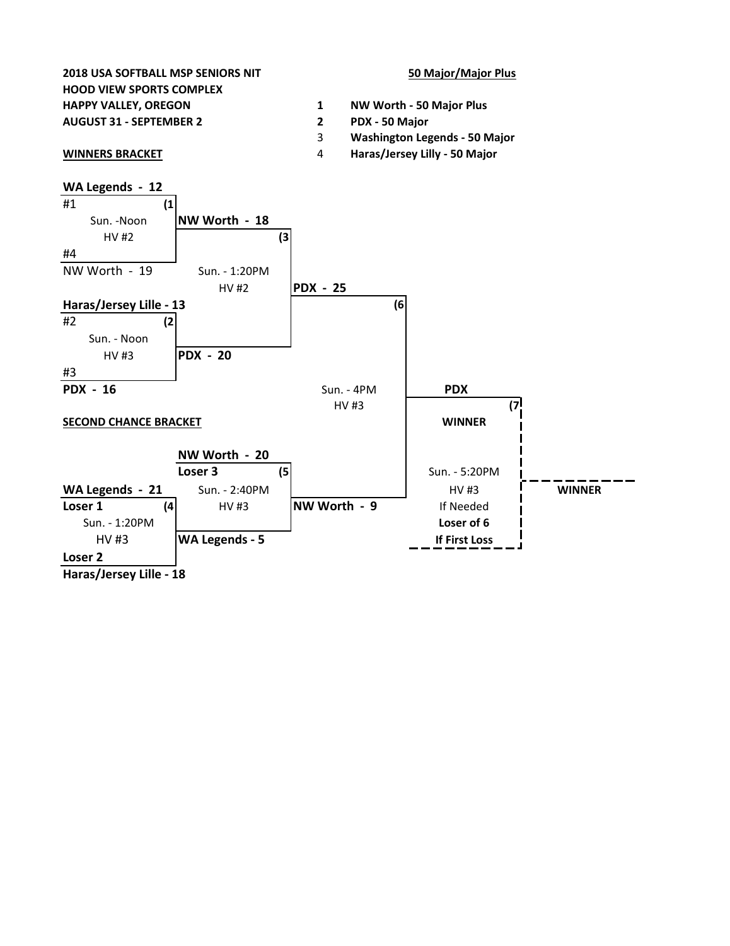



**Haras/Jersey Lille - 18**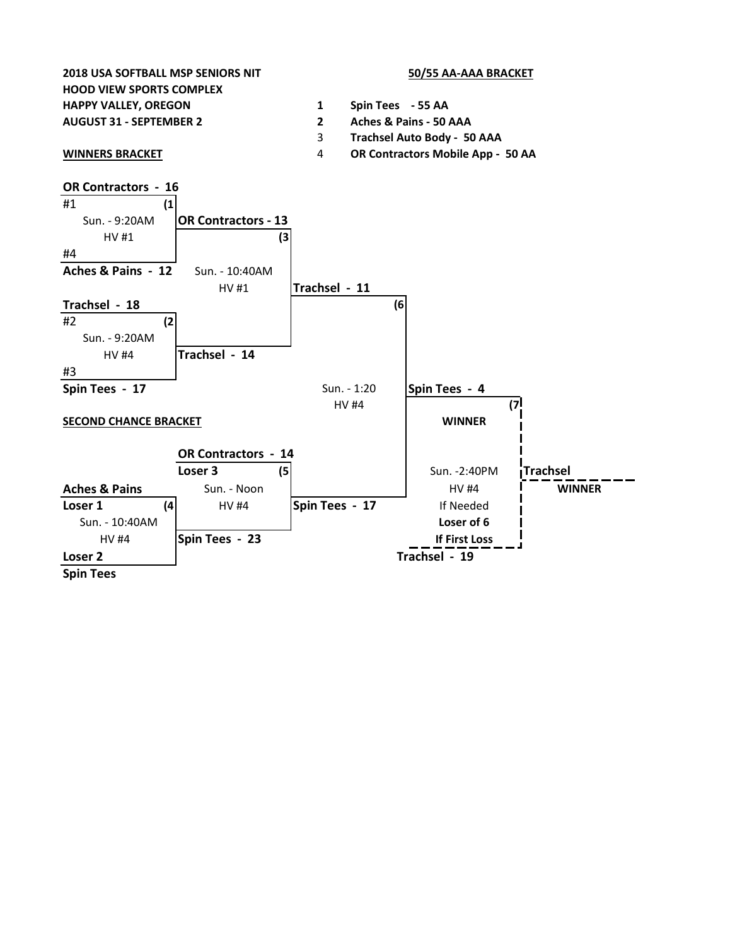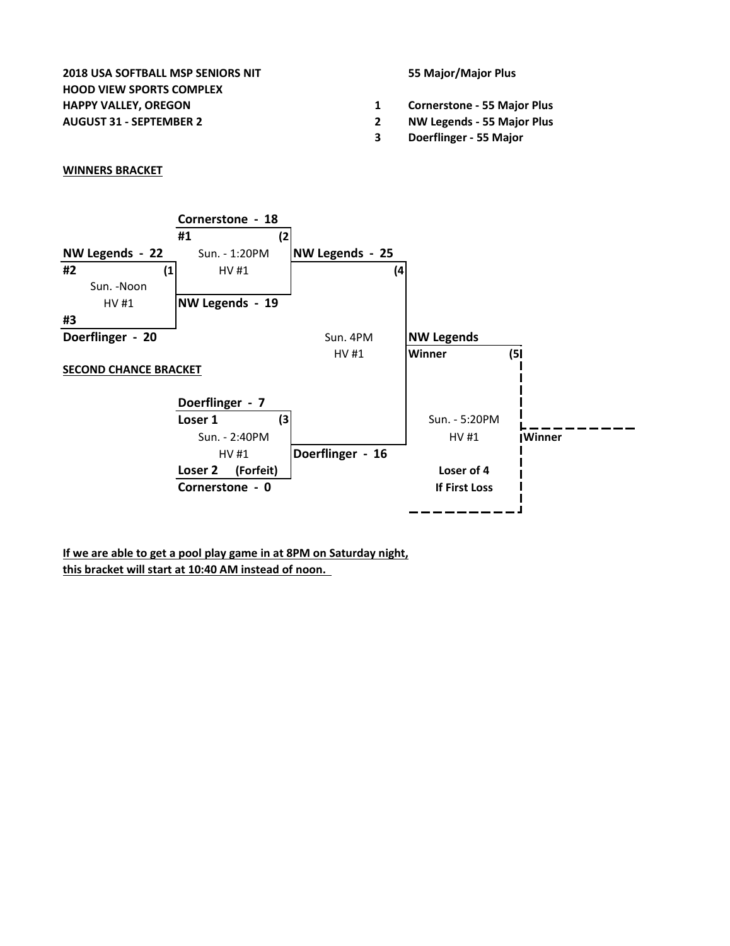**2018 USA SOFTBALL MSP SENIORS NIT 55 Major/Major Plus HOOD VIEW SPORTS COMPLEX HAPPY VALLEY, OREGON 1 Cornerstone - 55 Major Plus**

- 
- **AUGUST 31 SEPTEMBER 2 2 NW Legends 55 Major Plus**
	- **3 Doerflinger 55 Major**

## **WINNERS BRACKET**



**If we are able to get a pool play game in at 8PM on Saturday night, this bracket will start at 10:40 AM instead of noon.**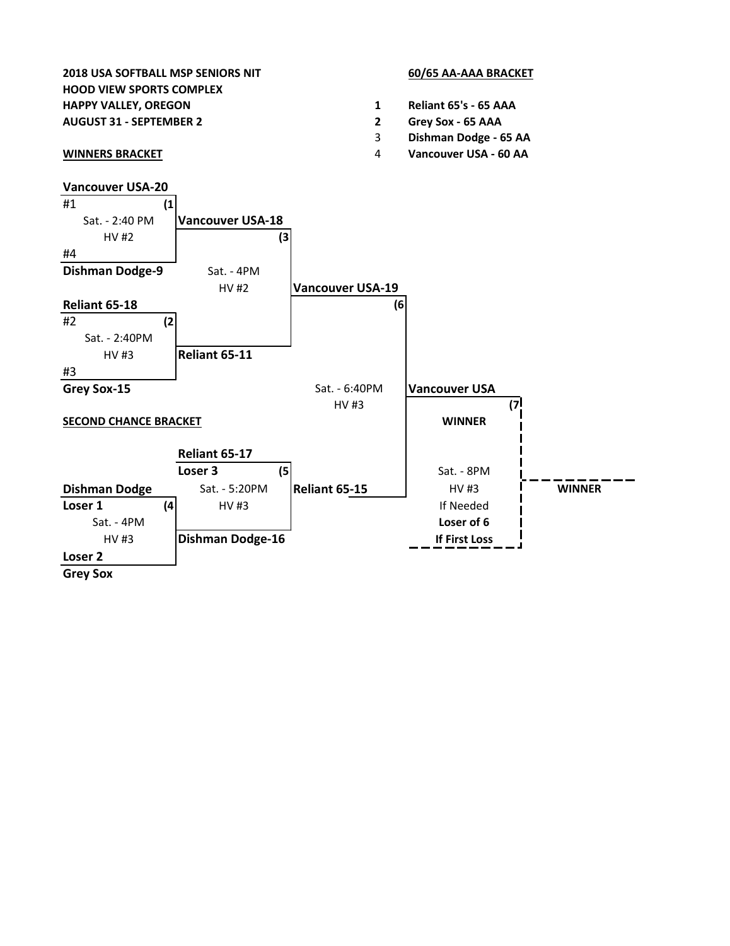## **2018 USA SOFTBALL MSP SENIORS NIT 60/65 AA-AAA BRACKET HOOD VIEW SPORTS COMPLEX**

- 
- 

- **HAPPY VALLEY, OREGON 1 Reliant 65's 65 AAA**
- **AUGUST 31 SEPTEMBER 2 2 Grey Sox 65 AAA**
	- 3 **Dishman Dodge 65 AA**
- **WINNERS BRACKET** 4 **Vancouver USA 60 AA**

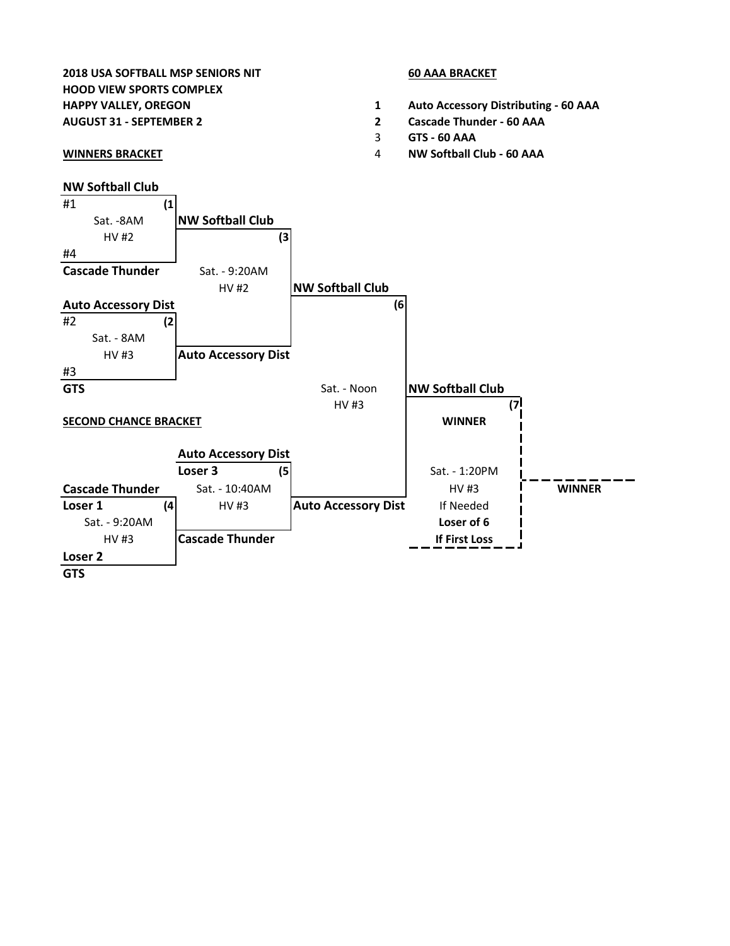## **2018 USA SOFTBALL MSP SENIORS NIT 60 AAA BRACKET HOOD VIEW SPORTS COMPLEX**

- 
- 

## **NW Softball Club**

- **HAPPY VALLEY, OREGON 1 Auto Accessory Distributing 60 AAA**
- **AUGUST 31 SEPTEMBER 2 2 Cascade Thunder 60 AAA**
	- 3 **GTS 60 AAA**
- **WINNERS BRACKET** 4 **NW Softball Club 60 AAA**

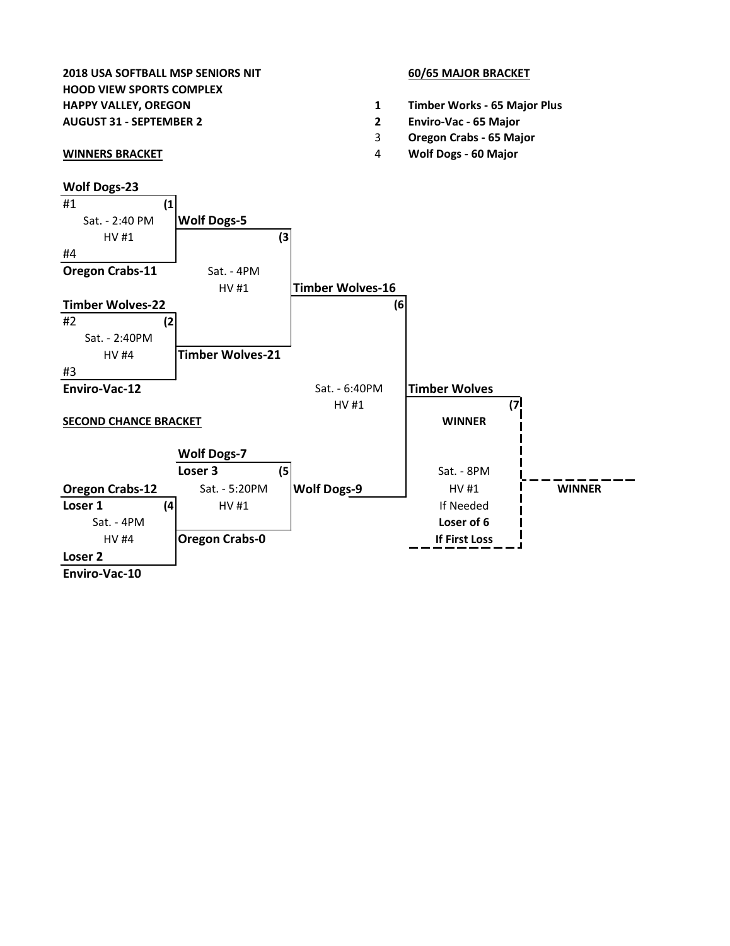# **2018 USA SOFTBALL MSP SENIORS NIT 60/65 MAJOR BRACKET HOOD VIEW SPORTS COMPLEX**

## **Wolf Dogs-23**

- **HAPPY VALLEY, OREGON 1 Timber Works 65 Major Plus**
- **AUGUST 31 SEPTEMBER 2 2 Enviro-Vac 65 Major**
	- 3 **Oregon Crabs 65 Major**
- **WINNERS BRACKET** 4 **Wolf Dogs 60 Major**

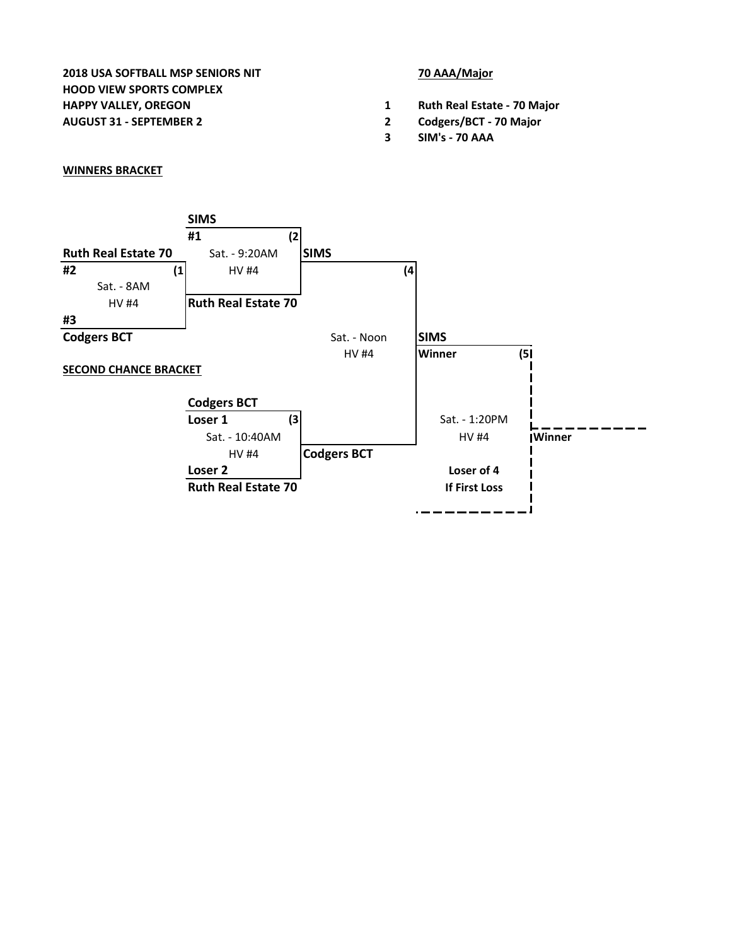**2018 USA SOFTBALL MSP SENIORS NIT 70 AAA/Major HOOD VIEW SPORTS COMPLEX HAPPY VALLEY, OREGON 1 Ruth Real Estate - 70 Major AUGUST 31 - SEPTEMBER 2 2 Codgers/BCT - 70 Major**

- 
- 
- **3 SIM's 70 AAA**

## **WINNERS BRACKET**